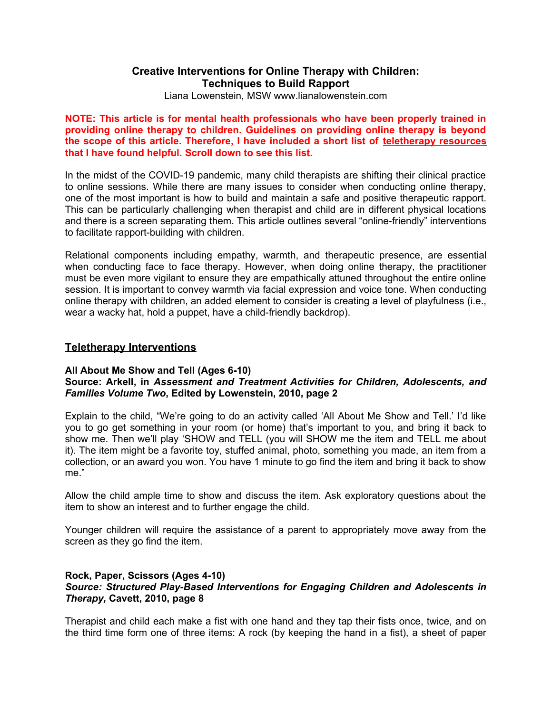# **Creative Interventions for Online Therapy with Children: Techniques to Build Rapport**

Liana Lowenstein, MSW www.lianalowenstein.com

**NOTE: This article is for mental health professionals who have been properly trained in providing online therapy to children. Guidelines on providing online therapy is beyond the scope of this article. Therefore, I have included a short list of teletherapy resources that I have found helpful. Scroll down to see this list.** 

In the midst of the COVID-19 pandemic, many child therapists are shifting their clinical practice to online sessions. While there are many issues to consider when conducting online therapy, one of the most important is how to build and maintain a safe and positive therapeutic rapport. This can be particularly challenging when therapist and child are in different physical locations and there is a screen separating them. This article outlines several "online-friendly" interventions to facilitate rapport-building with children.

Relational components including empathy, warmth, and therapeutic presence, are essential when conducting face to face therapy. However, when doing online therapy, the practitioner must be even more vigilant to ensure they are empathically attuned throughout the entire online session. It is important to convey warmth via facial expression and voice tone. When conducting online therapy with children, an added element to consider is creating a level of playfulness (i.e., wear a wacky hat, hold a puppet, have a child-friendly backdrop).

# **Teletherapy Interventions**

## **All About Me Show and Tell (Ages 6-10)**

# **Source: Arkell, in** *Assessment and Treatment Activities for Children, Adolescents, and Families Volume Two***, Edited by Lowenstein, 2010, page 2**

Explain to the child, "We're going to do an activity called 'All About Me Show and Tell.' I'd like you to go get something in your room (or home) that's important to you, and bring it back to show me. Then we'll play 'SHOW and TELL (you will SHOW me the item and TELL me about it). The item might be a favorite toy, stuffed animal, photo, something you made, an item from a collection, or an award you won. You have 1 minute to go find the item and bring it back to show me."

Allow the child ample time to show and discuss the item. Ask exploratory questions about the item to show an interest and to further engage the child.

Younger children will require the assistance of a parent to appropriately move away from the screen as they go find the item.

## **Rock, Paper, Scissors (Ages 4-10)**  *Source: Structured Play-Based Interventions for Engaging Children and Adolescents in Therapy,* **Cavett, 2010, page 8**

Therapist and child each make a fist with one hand and they tap their fists once, twice, and on the third time form one of three items: A rock (by keeping the hand in a fist), a sheet of paper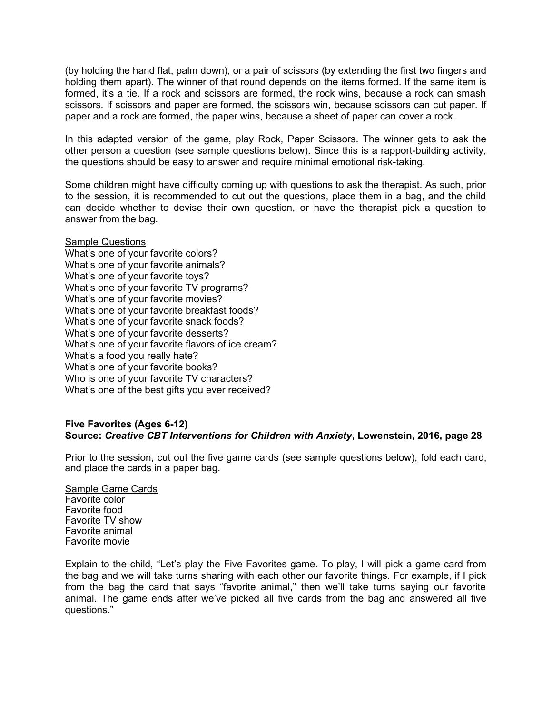(by holding the hand flat, palm down), or a pair of scissors (by extending the first two fingers and holding them apart). The winner of that round depends on the items formed. If the same item is formed, it's a tie. If a rock and scissors are formed, the rock wins, because a rock can smash scissors. If scissors and paper are formed, the scissors win, because scissors can cut paper. If paper and a rock are formed, the paper wins, because a sheet of paper can cover a rock.

In this adapted version of the game, play Rock, Paper Scissors. The winner gets to ask the other person a question (see sample questions below). Since this is a rapport-building activity, the questions should be easy to answer and require minimal emotional risk-taking.

Some children might have difficulty coming up with questions to ask the therapist. As such, prior to the session, it is recommended to cut out the questions, place them in a bag, and the child can decide whether to devise their own question, or have the therapist pick a question to answer from the bag.

Sample Questions What's one of your favorite colors? What's one of your favorite animals? What's one of your favorite toys? What's one of your favorite TV programs? What's one of your favorite movies? What's one of your favorite breakfast foods? What's one of your favorite snack foods? What's one of your favorite desserts? What's one of your favorite flavors of ice cream? What's a food you really hate? What's one of your favorite books? Who is one of your favorite TV characters? What's one of the best gifts you ever received?

## **Five Favorites (Ages 6-12) Source:** *Creative CBT Interventions for Children with Anxiety***, Lowenstein, 2016, page 28**

Prior to the session, cut out the five game cards (see sample questions below), fold each card, and place the cards in a paper bag.

Sample Game Cards Favorite color Favorite food Favorite TV show Favorite animal Favorite movie

Explain to the child, "Let's play the Five Favorites game. To play, I will pick a game card from the bag and we will take turns sharing with each other our favorite things. For example, if I pick from the bag the card that says "favorite animal," then we'll take turns saying our favorite animal. The game ends after we've picked all five cards from the bag and answered all five questions."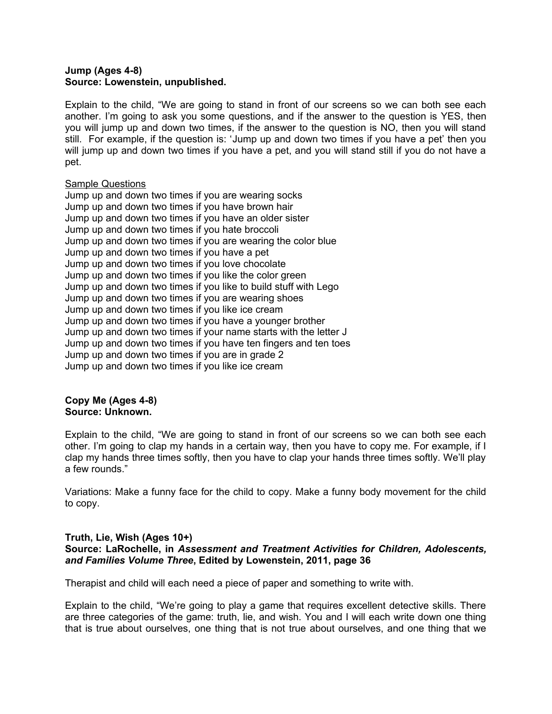## **Jump (Ages 4-8) Source: Lowenstein, unpublished.**

Explain to the child, "We are going to stand in front of our screens so we can both see each another. I'm going to ask you some questions, and if the answer to the question is YES, then you will jump up and down two times, if the answer to the question is NO, then you will stand still. For example, if the question is: 'Jump up and down two times if you have a pet' then you will jump up and down two times if you have a pet, and you will stand still if you do not have a pet.

## Sample Questions

| Jump up and down two times if you are wearing socks              |
|------------------------------------------------------------------|
| Jump up and down two times if you have brown hair                |
| Jump up and down two times if you have an older sister           |
| Jump up and down two times if you hate broccoli                  |
| Jump up and down two times if you are wearing the color blue     |
| Jump up and down two times if you have a pet                     |
| Jump up and down two times if you love chocolate                 |
| Jump up and down two times if you like the color green           |
| Jump up and down two times if you like to build stuff with Lego  |
| Jump up and down two times if you are wearing shoes              |
| Jump up and down two times if you like ice cream                 |
| Jump up and down two times if you have a younger brother         |
| Jump up and down two times if your name starts with the letter J |
| Jump up and down two times if you have ten fingers and ten toes  |
| Jump up and down two times if you are in grade 2                 |
| Jump up and down two times if you like ice cream                 |

## **Copy Me (Ages 4-8) Source: Unknown.**

Explain to the child, "We are going to stand in front of our screens so we can both see each other. I'm going to clap my hands in a certain way, then you have to copy me. For example, if I clap my hands three times softly, then you have to clap your hands three times softly. We'll play a few rounds."

Variations: Make a funny face for the child to copy. Make a funny body movement for the child to copy.

# **Truth, Lie, Wish (Ages 10+)**

# **Source: LaRochelle, in** *Assessment and Treatment Activities for Children, Adolescents, and Families Volume Three***, Edited by Lowenstein, 2011, page 36**

Therapist and child will each need a piece of paper and something to write with.

Explain to the child, "We're going to play a game that requires excellent detective skills. There are three categories of the game: truth, lie, and wish. You and I will each write down one thing that is true about ourselves, one thing that is not true about ourselves, and one thing that we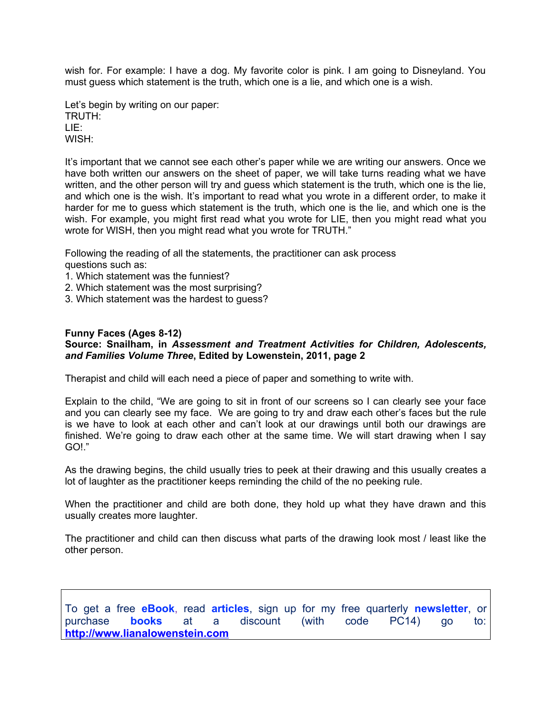wish for. For example: I have a dog. My favorite color is pink. I am going to Disneyland. You must guess which statement is the truth, which one is a lie, and which one is a wish.

Let's begin by writing on our paper: TRUTH: LIE: WISH:

It's important that we cannot see each other's paper while we are writing our answers. Once we have both written our answers on the sheet of paper, we will take turns reading what we have written, and the other person will try and guess which statement is the truth, which one is the lie, and which one is the wish. It's important to read what you wrote in a different order, to make it harder for me to guess which statement is the truth, which one is the lie, and which one is the wish. For example, you might first read what you wrote for LIE, then you might read what you wrote for WISH, then you might read what you wrote for TRUTH."

Following the reading of all the statements, the practitioner can ask process questions such as:

- 1. Which statement was the funniest?
- 2. Which statement was the most surprising?
- 3. Which statement was the hardest to guess?

## **Funny Faces (Ages 8-12)**

## **Source: Snailham, in** *Assessment and Treatment Activities for Children, Adolescents, and Families Volume Three***, Edited by Lowenstein, 2011, page 2**

Therapist and child will each need a piece of paper and something to write with.

Explain to the child, "We are going to sit in front of our screens so I can clearly see your face and you can clearly see my face. We are going to try and draw each other's faces but the rule is we have to look at each other and can't look at our drawings until both our drawings are finished. We're going to draw each other at the same time. We will start drawing when I say GO!."

As the drawing begins, the child usually tries to peek at their drawing and this usually creates a lot of laughter as the practitioner keeps reminding the child of the no peeking rule.

When the practitioner and child are both done, they hold up what they have drawn and this usually creates more laughter.

The practitioner and child can then discuss what parts of the drawing look most / least like the other person.

To get a free **eBook**, read **articles**, sign up for my free quarterly **newsletter**, or purchase **books** at a discount (with code PC14) go to: **[http://www.lianalowenstein.com](http://www.lianalowenstein.com/)**